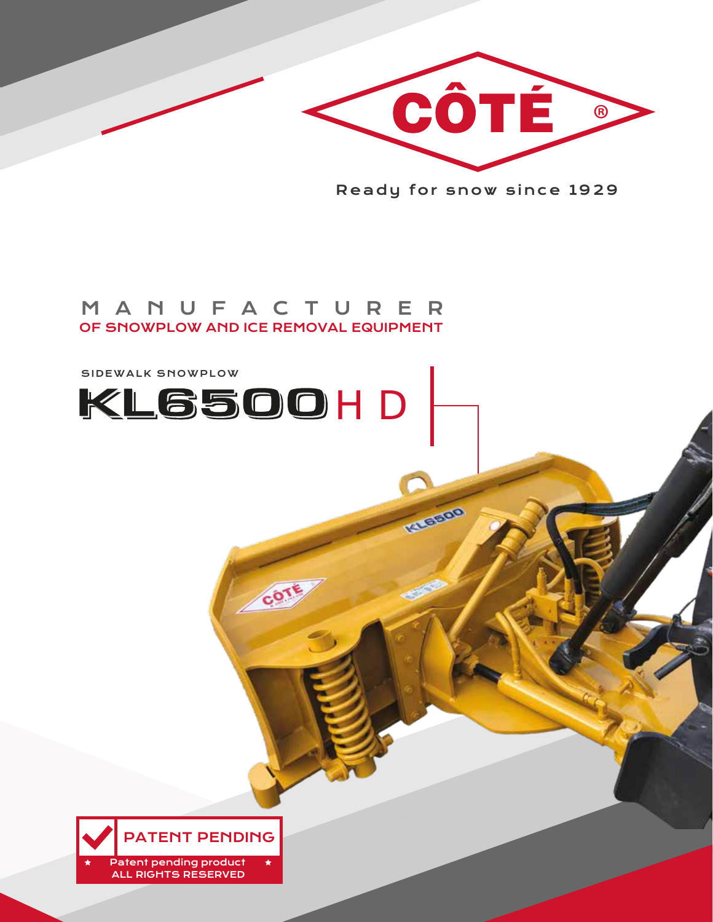Patent pending product ALL RIGHTS RESERVED



## SIDEWALK SNOWPLOW KL6500HD



Ready for snow since 1929

KIEERO

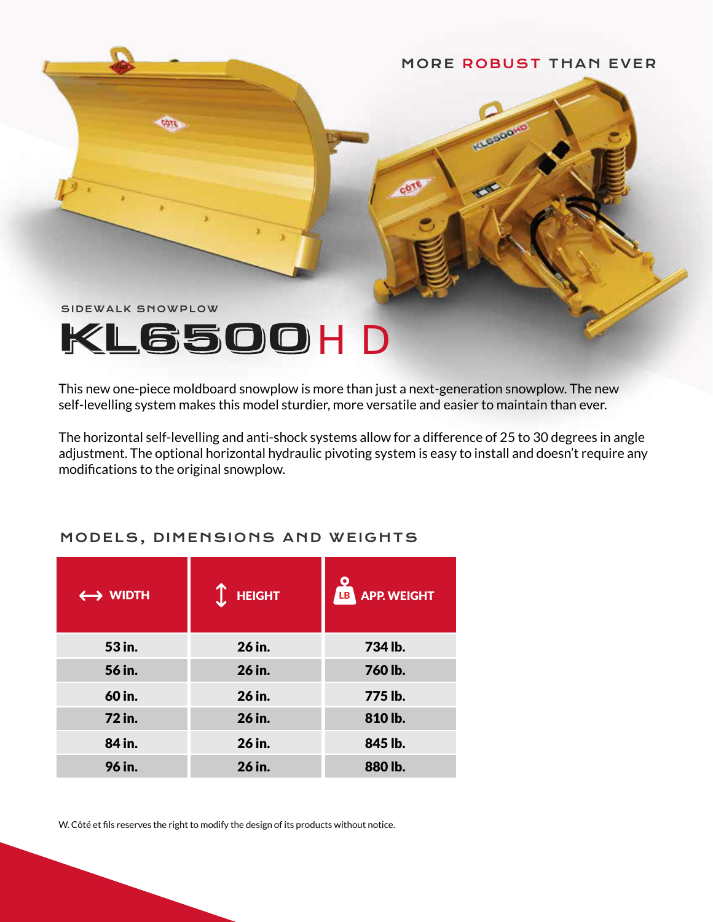#### MORE ROBUST THAN EVER

**KNGGLOON** 

SIDEWALK SNOWPLOW

# KL6500HD

This new one-piece moldboard snowplow is more than just a next-generation snowplow. The new self-levelling system makes this model sturdier, more versatile and easier to maintain than ever.

The horizontal self-levelling and anti-shock systems allow for a difference of 25 to 30 degrees in angle adjustment. The optional horizontal hydraulic pivoting system is easy to install and doesn't require any modifications to the original snowplow.

| $\leftrightarrow$ WIDTH | <b>HEIGHT</b> | <b>APP. WEIGHT</b><br>LB |
|-------------------------|---------------|--------------------------|
| 53 in.                  | 26 in.        | 734 lb.                  |
| 56 in.                  | 26 in.        | 760 lb.                  |
| 60 in.                  | 26 in.        | 775 lb.                  |
| 72 in.                  | 26 in.        | 810 lb.                  |
| 84 in.                  | 26 in.        | 845 lb.                  |
| 96 in.                  | 26 in.        | 880 lb.                  |

#### MODELS, DIMENSIONS AND WEIGHTS

W. Côté et fils reserves the right to modify the design of its products without notice.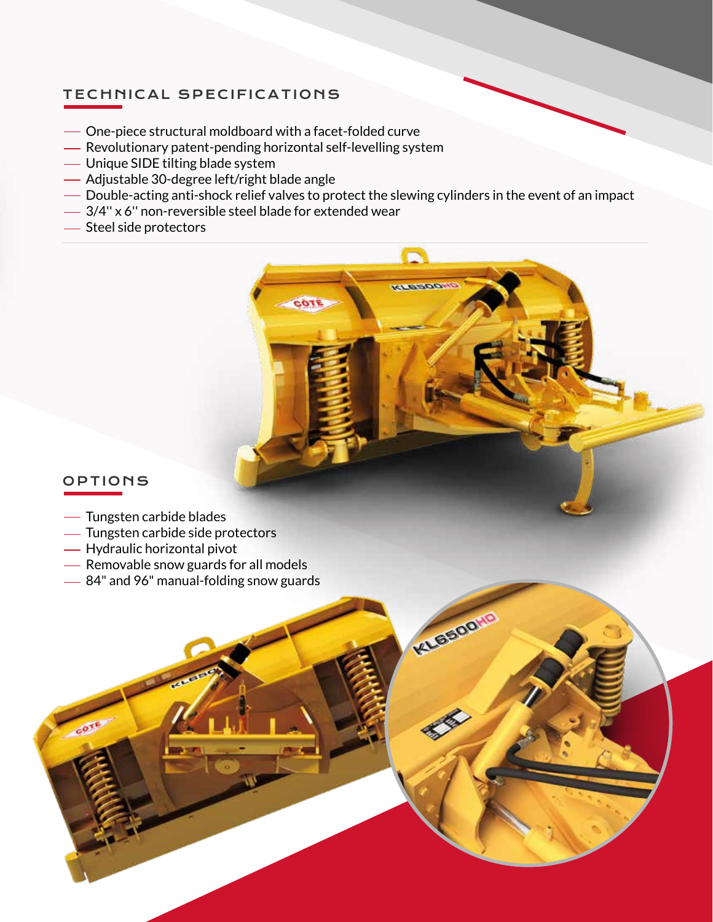#### TECHNICAL SPECIFICATIONS

- One-piece structural moldboard with a facet-folded curve
- Revolutionary patent-pending horizontal self-levelling system
- Unique SIDE tilting blade system
- Adjustable 30-degree left/right blade angle
- Double-acting anti-shock relief valves to protect the slewing cylinders in the event of an impact

COTI

**KLEDOO!** 

KLESDON

- 3/4'' x 6'' non-reversible steel blade for extended wear
- Steel side protectors

#### OPTIONS

 $e^{65}$ 

- Tungsten carbide blades
- Tungsten carbide side protectors
- Hydraulic horizontal pivot
- Removable snow guards for all models
- -84" and 96" manual-folding snow guards